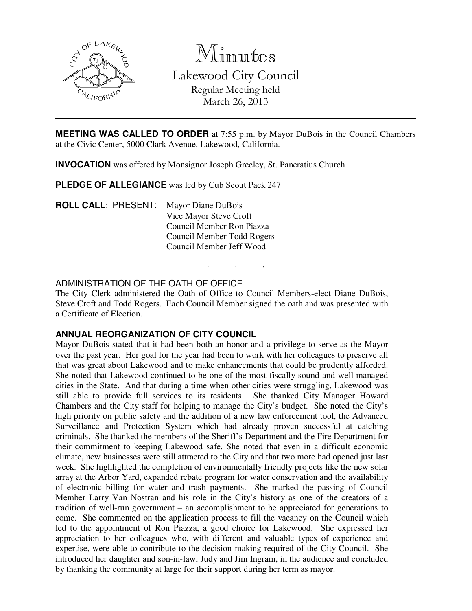

Minutes

Lakewood City Council Regular Meeting held March 26, 2013

**MEETING WAS CALLED TO ORDER** at 7:55 p.m. by Mayor DuBois in the Council Chambers at the Civic Center, 5000 Clark Avenue, Lakewood, California.

**INVOCATION** was offered by Monsignor Joseph Greeley, St. Pancratius Church

**PLEDGE OF ALLEGIANCE** was led by Cub Scout Pack 247

**ROLL CALL**: PRESENT: Mayor Diane DuBois Vice Mayor Steve Croft Council Member Ron Piazza Council Member Todd Rogers Council Member Jeff Wood

# ADMINISTRATION OF THE OATH OF OFFICE

The City Clerk administered the Oath of Office to Council Members-elect Diane DuBois, Steve Croft and Todd Rogers. Each Council Member signed the oath and was presented with a Certificate of Election.

. . .

### **ANNUAL REORGANIZATION OF CITY COUNCIL**

Mayor DuBois stated that it had been both an honor and a privilege to serve as the Mayor over the past year. Her goal for the year had been to work with her colleagues to preserve all that was great about Lakewood and to make enhancements that could be prudently afforded. She noted that Lakewood continued to be one of the most fiscally sound and well managed cities in the State. And that during a time when other cities were struggling, Lakewood was still able to provide full services to its residents. She thanked City Manager Howard Chambers and the City staff for helping to manage the City's budget. She noted the City's high priority on public safety and the addition of a new law enforcement tool, the Advanced Surveillance and Protection System which had already proven successful at catching criminals. She thanked the members of the Sheriff's Department and the Fire Department for their commitment to keeping Lakewood safe. She noted that even in a difficult economic climate, new businesses were still attracted to the City and that two more had opened just last week. She highlighted the completion of environmentally friendly projects like the new solar array at the Arbor Yard, expanded rebate program for water conservation and the availability of electronic billing for water and trash payments. She marked the passing of Council Member Larry Van Nostran and his role in the City's history as one of the creators of a tradition of well-run government – an accomplishment to be appreciated for generations to come. She commented on the application process to fill the vacancy on the Council which led to the appointment of Ron Piazza, a good choice for Lakewood. She expressed her appreciation to her colleagues who, with different and valuable types of experience and expertise, were able to contribute to the decision-making required of the City Council. She introduced her daughter and son-in-law, Judy and Jim Ingram, in the audience and concluded by thanking the community at large for their support during her term as mayor.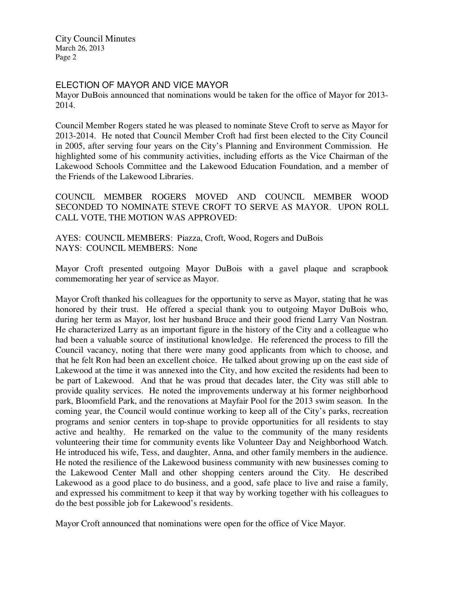#### ELECTION OF MAYOR AND VICE MAYOR

Mayor DuBois announced that nominations would be taken for the office of Mayor for 2013- 2014.

Council Member Rogers stated he was pleased to nominate Steve Croft to serve as Mayor for 2013-2014. He noted that Council Member Croft had first been elected to the City Council in 2005, after serving four years on the City's Planning and Environment Commission. He highlighted some of his community activities, including efforts as the Vice Chairman of the Lakewood Schools Committee and the Lakewood Education Foundation, and a member of the Friends of the Lakewood Libraries.

COUNCIL MEMBER ROGERS MOVED AND COUNCIL MEMBER WOOD SECONDED TO NOMINATE STEVE CROFT TO SERVE AS MAYOR. UPON ROLL CALL VOTE, THE MOTION WAS APPROVED:

AYES: COUNCIL MEMBERS: Piazza, Croft, Wood, Rogers and DuBois NAYS: COUNCIL MEMBERS: None

Mayor Croft presented outgoing Mayor DuBois with a gavel plaque and scrapbook commemorating her year of service as Mayor.

Mayor Croft thanked his colleagues for the opportunity to serve as Mayor, stating that he was honored by their trust. He offered a special thank you to outgoing Mayor DuBois who, during her term as Mayor, lost her husband Bruce and their good friend Larry Van Nostran. He characterized Larry as an important figure in the history of the City and a colleague who had been a valuable source of institutional knowledge. He referenced the process to fill the Council vacancy, noting that there were many good applicants from which to choose, and that he felt Ron had been an excellent choice. He talked about growing up on the east side of Lakewood at the time it was annexed into the City, and how excited the residents had been to be part of Lakewood. And that he was proud that decades later, the City was still able to provide quality services. He noted the improvements underway at his former neighborhood park, Bloomfield Park, and the renovations at Mayfair Pool for the 2013 swim season. In the coming year, the Council would continue working to keep all of the City's parks, recreation programs and senior centers in top-shape to provide opportunities for all residents to stay active and healthy. He remarked on the value to the community of the many residents volunteering their time for community events like Volunteer Day and Neighborhood Watch. He introduced his wife, Tess, and daughter, Anna, and other family members in the audience. He noted the resilience of the Lakewood business community with new businesses coming to the Lakewood Center Mall and other shopping centers around the City. He described Lakewood as a good place to do business, and a good, safe place to live and raise a family, and expressed his commitment to keep it that way by working together with his colleagues to do the best possible job for Lakewood's residents.

Mayor Croft announced that nominations were open for the office of Vice Mayor.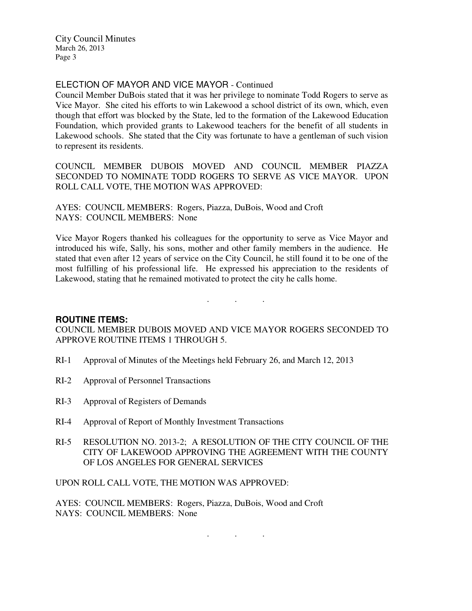## ELECTION OF MAYOR AND VICE MAYOR - Continued

Council Member DuBois stated that it was her privilege to nominate Todd Rogers to serve as Vice Mayor. She cited his efforts to win Lakewood a school district of its own, which, even though that effort was blocked by the State, led to the formation of the Lakewood Education Foundation, which provided grants to Lakewood teachers for the benefit of all students in Lakewood schools. She stated that the City was fortunate to have a gentleman of such vision to represent its residents.

COUNCIL MEMBER DUBOIS MOVED AND COUNCIL MEMBER PIAZZA SECONDED TO NOMINATE TODD ROGERS TO SERVE AS VICE MAYOR. UPON ROLL CALL VOTE, THE MOTION WAS APPROVED:

AYES: COUNCIL MEMBERS: Rogers, Piazza, DuBois, Wood and Croft NAYS: COUNCIL MEMBERS: None

Vice Mayor Rogers thanked his colleagues for the opportunity to serve as Vice Mayor and introduced his wife, Sally, his sons, mother and other family members in the audience. He stated that even after 12 years of service on the City Council, he still found it to be one of the most fulfilling of his professional life. He expressed his appreciation to the residents of Lakewood, stating that he remained motivated to protect the city he calls home.

. . .

### **ROUTINE ITEMS:**

COUNCIL MEMBER DUBOIS MOVED AND VICE MAYOR ROGERS SECONDED TO APPROVE ROUTINE ITEMS 1 THROUGH 5.

- RI-1 Approval of Minutes of the Meetings held February 26, and March 12, 2013
- RI-2 Approval of Personnel Transactions
- RI-3 Approval of Registers of Demands
- RI-4 Approval of Report of Monthly Investment Transactions
- RI-5 RESOLUTION NO. 2013-2; A RESOLUTION OF THE CITY COUNCIL OF THE CITY OF LAKEWOOD APPROVING THE AGREEMENT WITH THE COUNTY OF LOS ANGELES FOR GENERAL SERVICES

. . .

UPON ROLL CALL VOTE, THE MOTION WAS APPROVED:

AYES: COUNCIL MEMBERS: Rogers, Piazza, DuBois, Wood and Croft NAYS: COUNCIL MEMBERS: None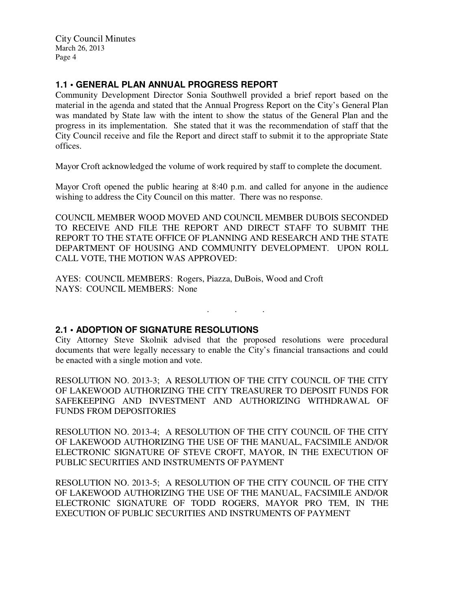## **1.1 • GENERAL PLAN ANNUAL PROGRESS REPORT**

Community Development Director Sonia Southwell provided a brief report based on the material in the agenda and stated that the Annual Progress Report on the City's General Plan was mandated by State law with the intent to show the status of the General Plan and the progress in its implementation. She stated that it was the recommendation of staff that the City Council receive and file the Report and direct staff to submit it to the appropriate State offices.

Mayor Croft acknowledged the volume of work required by staff to complete the document.

Mayor Croft opened the public hearing at 8:40 p.m. and called for anyone in the audience wishing to address the City Council on this matter. There was no response.

COUNCIL MEMBER WOOD MOVED AND COUNCIL MEMBER DUBOIS SECONDED TO RECEIVE AND FILE THE REPORT AND DIRECT STAFF TO SUBMIT THE REPORT TO THE STATE OFFICE OF PLANNING AND RESEARCH AND THE STATE DEPARTMENT OF HOUSING AND COMMUNITY DEVELOPMENT. UPON ROLL CALL VOTE, THE MOTION WAS APPROVED:

AYES: COUNCIL MEMBERS: Rogers, Piazza, DuBois, Wood and Croft NAYS: COUNCIL MEMBERS: None

### **2.1 • ADOPTION OF SIGNATURE RESOLUTIONS**

City Attorney Steve Skolnik advised that the proposed resolutions were procedural documents that were legally necessary to enable the City's financial transactions and could be enacted with a single motion and vote.

. . .

RESOLUTION NO. 2013-3; A RESOLUTION OF THE CITY COUNCIL OF THE CITY OF LAKEWOOD AUTHORIZING THE CITY TREASURER TO DEPOSIT FUNDS FOR SAFEKEEPING AND INVESTMENT AND AUTHORIZING WITHDRAWAL OF FUNDS FROM DEPOSITORIES

RESOLUTION NO. 2013-4; A RESOLUTION OF THE CITY COUNCIL OF THE CITY OF LAKEWOOD AUTHORIZING THE USE OF THE MANUAL, FACSIMILE AND/OR ELECTRONIC SIGNATURE OF STEVE CROFT, MAYOR, IN THE EXECUTION OF PUBLIC SECURITIES AND INSTRUMENTS OF PAYMENT

RESOLUTION NO. 2013-5; A RESOLUTION OF THE CITY COUNCIL OF THE CITY OF LAKEWOOD AUTHORIZING THE USE OF THE MANUAL, FACSIMILE AND/OR ELECTRONIC SIGNATURE OF TODD ROGERS, MAYOR PRO TEM, IN THE EXECUTION OF PUBLIC SECURITIES AND INSTRUMENTS OF PAYMENT